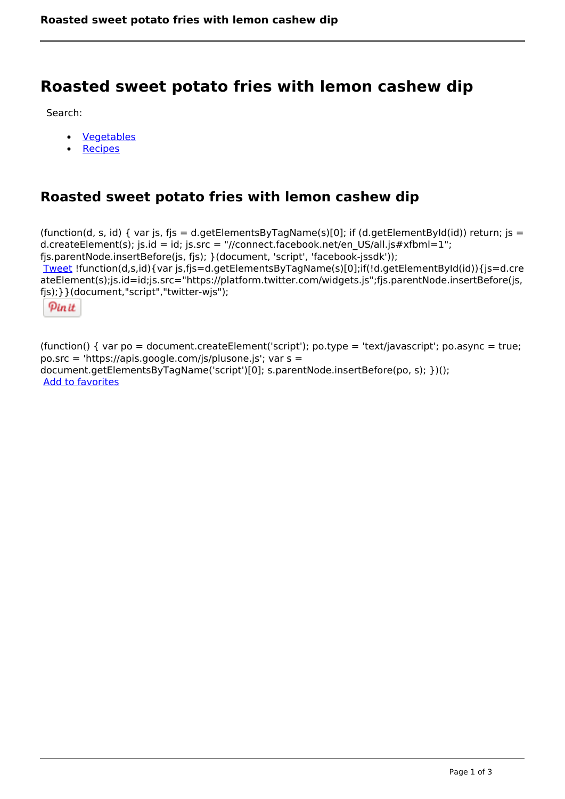# **Roasted sweet potato fries with lemon cashew dip**

Search:

- [Vegetables](https://www.naturalhealthmag.com.au/nourish/veg)  $\bullet$
- [Recipes](https://www.naturalhealthmag.com.au/nourish/recipes)

# **Roasted sweet potato fries with lemon cashew dip**

(function(d, s, id) { var js, fjs = d.getElementsByTagName(s)[0]; if (d.getElementById(id)) return; js = d.createElement(s); js.id = id; js.src = "//connect.facebook.net/en\_US/all.js#xfbml=1"; fjs.parentNode.insertBefore(js, fjs); }(document, 'script', 'facebook-jssdk')); [Tweet](https://twitter.com/share) !function(d,s,id){var js,fjs=d.getElementsByTagName(s)[0];if(!d.getElementById(id)){js=d.cre ateElement(s);js.id=id;js.src="https://platform.twitter.com/widgets.js";fjs.parentNode.insertBefore(js, fjs);}}(document,"script","twitter-wjs");

Pinit

(function() { var po = document.createElement('script'); po.type = 'text/javascript'; po.async = true; po.src = 'https://apis.google.com/js/plusone.js'; var s = document.getElementsByTagName('script')[0]; s.parentNode.insertBefore(po, s); })(); Add to favorites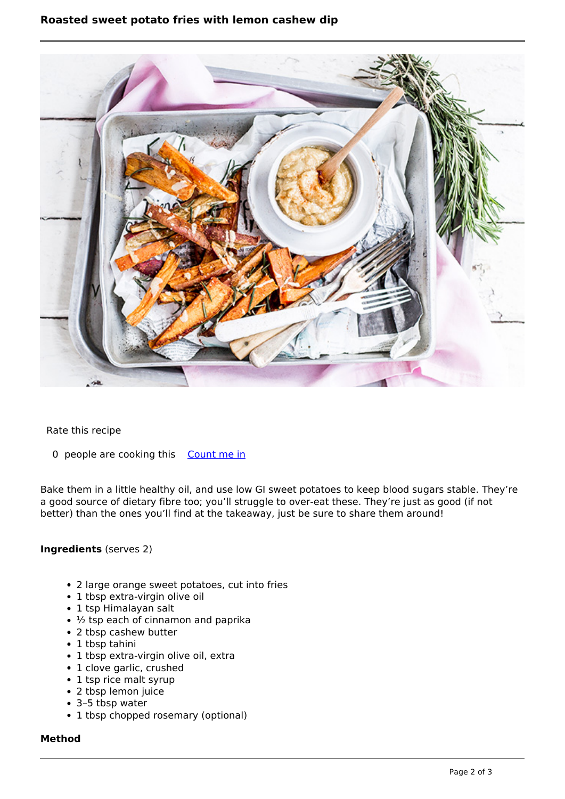## **Roasted sweet potato fries with lemon cashew dip**



#### Rate this recipe

0 people are cooking this [Count me in](https://www.naturalhealthmag.com.au/flag/flag/favorites/2411?destination=printpdf%2F2411&token=2d3b2f33d7737713fe4e5df8f97e0ee1)

Bake them in a little healthy oil, and use low GI sweet potatoes to keep blood sugars stable. They're a good source of dietary fibre too; you'll struggle to over-eat these. They're just as good (if not better) than the ones you'll find at the takeaway, just be sure to share them around!

### **Ingredients** (serves 2)

- 2 large orange sweet potatoes, cut into fries
- 1 tbsp extra-virgin olive oil
- 1 tsp Himalayan salt
- $\cdot$   $\frac{1}{2}$  tsp each of cinnamon and paprika
- 2 tbsp cashew butter
- 1 tbsp tahini
- 1 tbsp extra-virgin olive oil, extra
- 1 clove garlic, crushed
- 1 tsp rice malt syrup
- 2 tbsp lemon juice
- 3–5 tbsp water
- 1 tbsp chopped rosemary (optional)

#### **Method**